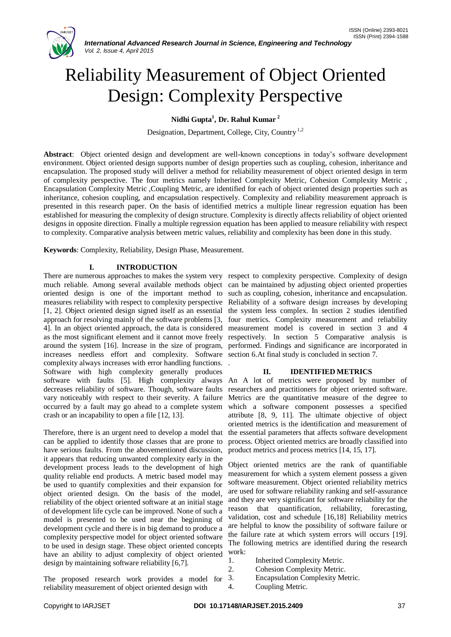

# Reliability Measurement of Object Oriented Design: Complexity Perspective

# **Nidhi Gupta<sup>1</sup> , Dr. Rahul Kumar <sup>2</sup>**

Designation, Department, College, City, Country<sup>1,2</sup>

**Abstract**: Object oriented design and development are well-known conceptions in today's software development environment. Object oriented design supports number of design properties such as coupling, cohesion, inheritance and encapsulation. The proposed study will deliver a method for reliability measurement of object oriented design in term of complexity perspective. The four metrics namely Inherited Complexity Metric, Cohesion Complexity Metric , Encapsulation Complexity Metric ,Coupling Metric, are identified for each of object oriented design properties such as inheritance, cohesion coupling, and encapsulation respectively. Complexity and reliability measurement approach is presented in this research paper. On the basis of identified metrics a multiple linear regression equation has been established for measuring the complexity of design structure. Complexity is directly affects reliability of object oriented designs in opposite direction. Finally a multiple regression equation has been applied to measure reliability with respect to complexity. Comparative analysis between metric values, reliability and complexity has been done in this study.

.

**Keywords**: Complexity, Reliability, Design Phase, Measurement.

# **I. INTRODUCTION**

There are numerous approaches to makes the system very respect to complexity perspective. Complexity of design much reliable. Among several available methods object can be maintained by adjusting object oriented properties oriented design is one of the important method to such as coupling, cohesion, inheritance and encapsulation. measures reliability with respect to complexity perspective Reliability of a software design increases by developing [1, 2]. Object oriented design signed itself as an essential the system less complex. In section 2 studies identified approach for resolving mainly of the software problems [3, four metrics. Complexity measurement and reliability 4]. In an object oriented approach, the data is considered as the most significant element and it cannot move freely respectively. In section 5 Comparative analysis is around the system [16]. Increase in the size of program, performed. Findings and significance are incorporated in increases needless effort and complexity. Software section 6.At final study is concluded in section 7. complexity always increases with error handling functions. Software with high complexity generally produces software with faults [5]. High complexity always decreases reliability of software. Though, software faults vary noticeably with respect to their severity. A failure occurred by a fault may go ahead to a complete system crash or an incapability to open a file [12, 13].

Therefore, there is an urgent need to develop a model that can be applied to identify those classes that are prone to have serious faults. From the abovementioned discussion, it appears that reducing unwanted complexity early in the development process leads to the development of high quality reliable end products. A metric based model may be used to quantify complexities and their expansion for object oriented design. On the basis of the model, reliability of the object oriented software at an initial stage of development life cycle can be improved. None of such a model is presented to be used near the beginning of development cycle and there is in big demand to produce a complexity perspective model for object oriented software to be used in design stage. These object oriented concepts have an ability to adjust complexity of object oriented design by maintaining software reliability [6,7].

The proposed research work provides a model for reliability measurement of object oriented design with

measurement model is covered in section 3 and 4

## **II. IDENTIFIED METRICS**

An A lot of metrics were proposed by number of researchers and practitioners for object oriented software. Metrics are the quantitative measure of the degree to which a software component possesses a specified attribute [8, 9, 11]. The ultimate objective of object oriented metrics is the identification and measurement of the essential parameters that affects software development process. Object oriented metrics are broadly classified into product metrics and process metrics [14, 15, 17].

Object oriented metrics are the rank of quantifiable measurement for which a system element possess a given software measurement. Object oriented reliability metrics are used for software reliability ranking and self-assurance and they are very significant for software reliability for the reason that quantification, reliability, forecasting, validation, cost and schedule [16,18] Reliability metrics are helpful to know the possibility of software failure or the failure rate at which system errors will occurs [19]. The following metrics are identified during the research work:

- 1. Inherited Complexity Metric.
- 2. Cohesion Complexity Metric.
- 3. Encapsulation Complexity Metric.
- 4. Coupling Metric.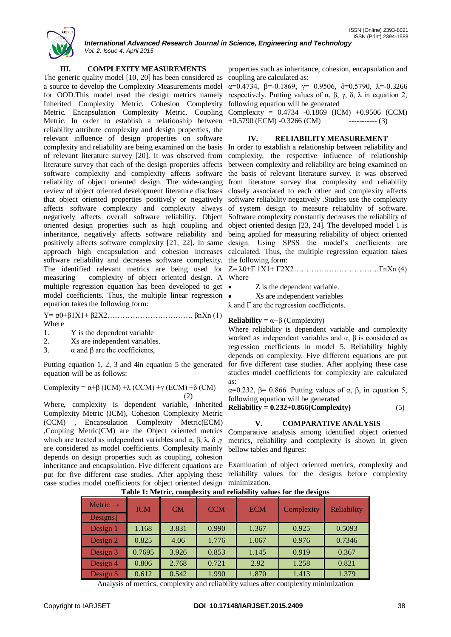

*International Advanced Research Journal in Science, Engineering and Technology Vol. 2, Issue 4, April 2015*

# **III. COMPLEXITY MEASUREMENTS**

The generic quality model [10, 20] has been considered as coupling are calculated as: a source to develop the Complexity Measurements model  $\alpha$ =0.4734, β=-0.1869, γ= 0.9506, δ=0.5790, λ=-0.3266 for OOD. This model used the design metrics namely respectively. Putting values of  $\alpha$ ,  $\beta$ ,  $\gamma$ ,  $\delta$ , λ in equation 2, Inherited Complexity Metric. Cohesion Complexity following equation will be generated Metric. Encapsulation Complexity Metric. Coupling Complexity = 0.4734 -0.1869 (ICM) +0.9506 (CCM) Metric. In order to establish a relationship between  $+0.5790$  (ECM)  $-0.3266$  (CM)  $-$ ----------- (3) reliability attribute complexity and design properties, the relevant influence of design properties on software complexity and reliability are being examined on the basis In order to establish a relationship between reliability and of relevant literature survey [20]. It was observed from literature survey that each of the design properties affects software complexity and complexity affects software reliability of object oriented design. The wide-ranging review of object oriented development literature discloses that object oriented properties positively or negatively affects software complexity and complexity always negatively affects overall software reliability. Object oriented design properties such as high coupling and inheritance, negatively affects software reliability and positively affects software complexity [21, 22]. In same approach high encapsulation and cohesion increases software reliability and decreases software complexity. the following form: The identified relevant metrics are being used for Z= λ0+Γ 1X1+ Γ2X2…………………………….ΓnXn (4) measuring complexity of object oriented design. A Where multiple regression equation has been developed to get  $\bullet$ model coefficients. Thus, the multiple linear regression equation takes the following form:

 $Y = \alpha 0 + \beta 1 X 1 + \beta 2 X 2 \dots$  βnXn (1) Where

- 1. Y is the dependent variable
- 2. Xs are independent variables.
- 3. α and β are the coefficients,

Putting equation 1, 2, 3 and 4in equation 5 the generated equation will be as follows:

Complexity = 
$$
\alpha + \beta
$$
 (ICM) + $\lambda$  (CCM) + $\gamma$  (ECM) + $\delta$  (CM) (2)

Where, complexity is dependent variable, Inherited Complexity Metric (ICM), Cohesion Complexity Metric (CCM) , Encapsulation Complexity Metric(ECM) ,Coupling Metric(CM) are the Object oriented metrics which are treated as independent variables and  $\alpha$ ,  $\beta$ ,  $\lambda$ ,  $\delta$ ,  $\gamma$  metrics, reliability and complexity is shown in given are considered as model coefficients. Complexity mainly depends on design properties such as coupling, cohesion inheritance and encapsulation. Five different equations are Examination of object oriented metrics, complexity and put for five different case studies. After applying these reliability values for the designs before complexity case studies model coefficients for object oriented design minimization.

properties such as inheritance, cohesion, encapsulation and

#### **IV. RELIABILITY MEASUREMENT**

complexity, the respective influence of relationship between complexity and reliability are being examined on the basis of relevant literature survey. It was observed from literature survey that complexity and reliability closely associated to each other and complexity affects software reliability negatively .Studies use the complexity of system design to measure reliability of software. Software complexity constantly decreases the reliability of object oriented design [23, 24]. The developed model 1 is being applied for measuring reliability of object oriented design. Using SPSS the model's coefficients are calculated. Thus, the multiple regression equation takes

- Z is the dependent variable.
- Xs are independent variables

 $\lambda$  and  $\Gamma$  are the regression coefficients.

## **Reliability** =  $\alpha + \beta$  (Complexity)

Where reliability is dependent variable and complexity worked as independent variables and  $\alpha$ ,  $\beta$  is considered as regression coefficients in model 5. Reliability highly depends on complexity. Five different equations are put for five different case studies. After applying these case studies model coefficients for complexity are calculated as:

α=0.232, β= 0.866. Putting values of α, β, in equation 5, following equation will be generated

**Reliability = 0.232+0.866(Complexity)** (5)

# **V. COMPARATIVE ANALYSIS**

Comparative analysis among identified object oriented bellow tables and figures:

| Metric $\rightarrow$ | <b>ICM</b> | CM    | <b>CCM</b> | <b>ECM</b> | Complexity | Reliability |
|----------------------|------------|-------|------------|------------|------------|-------------|
| Designs $\downarrow$ |            |       |            |            |            |             |
| Design 1             | 1.168      | 3.831 | 0.990      | 1.367      | 0.925      | 0.5093      |
| Design 2             | 0.825      | 4.06  | 1.776      | 1.067      | 0.976      | 0.7346      |
| Design 3             | 0.7695     | 3.926 | 0.853      | 1.145      | 0.919      | 0.367       |
| Design 4             | 0.806      | 2.768 | 0.721      | 2.92       | 1.258      | 0.821       |
| Design 5             | 0.612      | 0.542 | 1.990      | 1.870      | 1.413      | 1.379       |

**Table 1: Metric, complexity and reliability values for the designs**

Analysis of metrics, complexity and reliability values after complexity minimization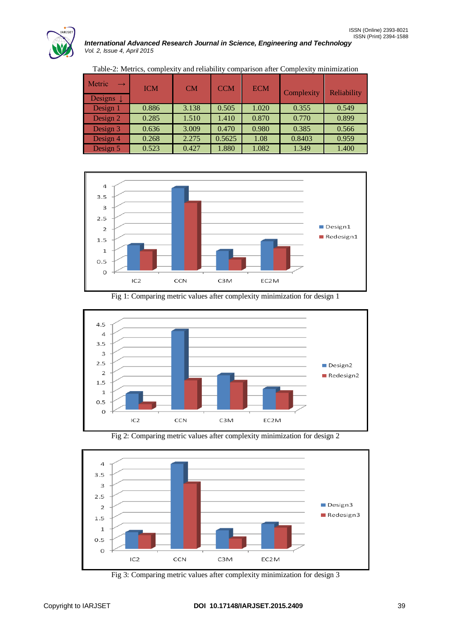

| Metric               | <b>ICM</b> | CM    | <b>CCM</b> | <b>ECM</b> | Complexity | Reliability |
|----------------------|------------|-------|------------|------------|------------|-------------|
| Designs $\downarrow$ |            |       |            |            |            |             |
| Design 1             | 0.886      | 3.138 | 0.505      | 1.020      | 0.355      | 0.549       |
| Design $2$           | 0.285      | 1.510 | 1.410      | 0.870      | 0.770      | 0.899       |
| Design 3             | 0.636      | 3.009 | 0.470      | 0.980      | 0.385      | 0.566       |
| Design 4             | 0.268      | 2.275 | 0.5625     | 1.08       | 0.8403     | 0.959       |
| Design 5             | 0.523      | 0.427 | 1.880      | 1.082      | 1.349      | 1.400       |

Table-2: Metrics, complexity and reliability comparison after Complexity minimization



Fig 1: Comparing metric values after complexity minimization for design 1



Fig 2: Comparing metric values after complexity minimization for design 2



Fig 3: Comparing metric values after complexity minimization for design 3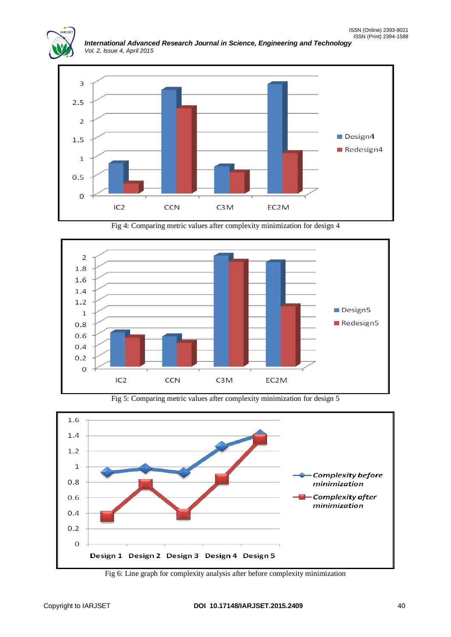

*International Advanced Research Journal in Science, Engineering and Technology Vol. 2, Issue 4, April 2015*



Fig 4: Comparing metric values after complexity minimization for design 4



Fig 5: Comparing metric values after complexity minimization for design 5



Fig 6: Line graph for complexity analysis after before complexity minimization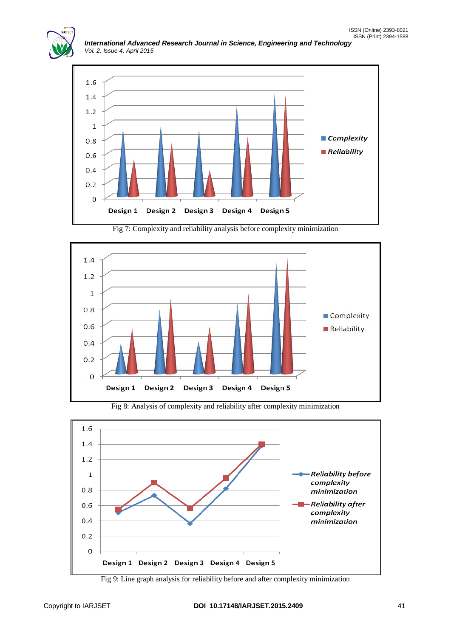

*International Advanced Research Journal in Science, Engineering and Technology Vol. 2, Issue 4, April 2015*



Fig 7: Complexity and reliability analysis before complexity minimization





Fig 8: Analysis of complexity and reliability after complexity minimization

Fig 9: Line graph analysis for reliability before and after complexity minimization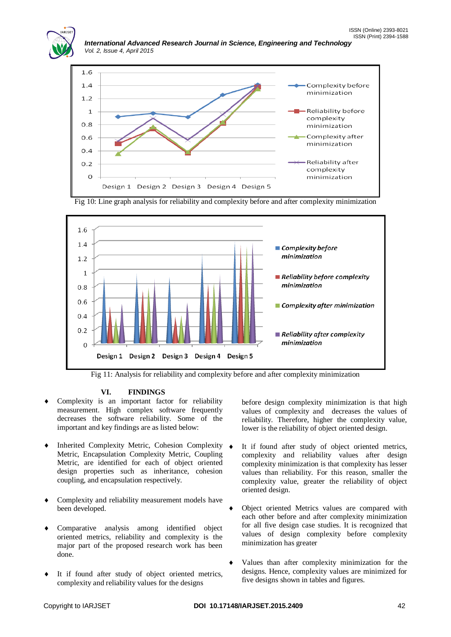



Fig 10: Line graph analysis for reliability and complexity before and after complexity minimization



Fig 11: Analysis for reliability and complexity before and after complexity minimization

# **VI. FINDINGS**

- Complexity is an important factor for reliability measurement. High complex software frequently decreases the software reliability. Some of the important and key findings are as listed below:
- Inherited Complexity Metric, Cohesion Complexity Metric, Encapsulation Complexity Metric, Coupling Metric, are identified for each of object oriented design properties such as inheritance, cohesion coupling, and encapsulation respectively.
- Complexity and reliability measurement models have been developed.
- Comparative analysis among identified object oriented metrics, reliability and complexity is the major part of the proposed research work has been done.
- It if found after study of object oriented metrics, complexity and reliability values for the designs

before design complexity minimization is that high values of complexity and decreases the values of reliability. Therefore, higher the complexity value, lower is the reliability of object oriented design.

- It if found after study of object oriented metrics, complexity and reliability values after design complexity minimization is that complexity has lesser values than reliability. For this reason, smaller the complexity value, greater the reliability of object oriented design.
- Object oriented Metrics values are compared with each other before and after complexity minimization for all five design case studies. It is recognized that values of design complexity before complexity minimization has greater
- Values than after complexity minimization for the designs. Hence, complexity values are minimized for five designs shown in tables and figures.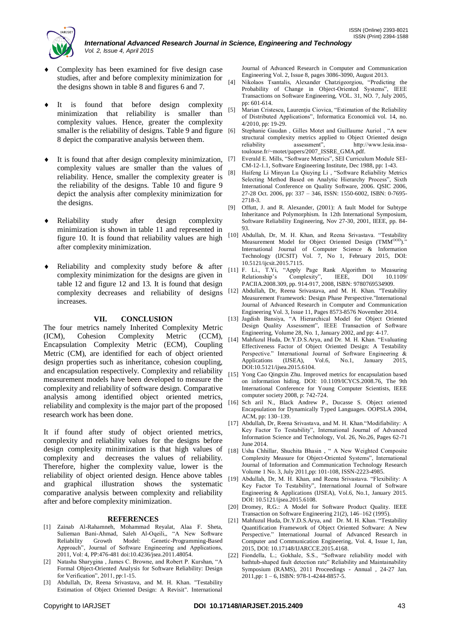

- Complexity has been examined for five design case studies, after and before complexity minimization for  $\frac{1}{141}$ the designs shown in table 8 and figures 6 and 7.
- It is found that before design complexity minimization that reliability is smaller than complexity values. Hence, greater the complexity smaller is the reliability of designs. Table 9 and figure [6] 8 depict the comparative analysis between them.
- It is found that after design complexity minimization, complexity values are smaller than the values of reliability. Hence, smaller the complexity greater is the reliability of the designs. Table 10 and figure 9 depict the analysis after complexity minimization for the designs.
- Reliability study after design complexity minimization is shown in table 11 and represented in figure 10. It is found that reliability values are high after complexity minimization.
- Reliability and complexity study before & after complexity minimization for the designs are given in table 12 and figure 12 and 13. It is found that design increases.

#### **VII. CONCLUSION**

The four metrics namely Inherited Complexity Metric (ICM), Cohesion Complexity Metric (CCM), Encapsulation Complexity Metric (ECM), Coupling Metric (CM), are identified for each of object oriented design properties such as inheritance, cohesion coupling, and encapsulation respectively. Complexity and reliability measurement models have been developed to measure the complexity and reliability of software design. Comparative analysis among identified object oriented metrics, reliability and complexity is the major part of the proposed research work has been done.

It if found after study of object oriented metrics, complexity and reliability values for the designs before design complexity minimization is that high values of complexity and decreases the values of reliability. Therefore, higher the complexity value, lower is the reliability of object oriented design. Hence above tables and graphical illustration shows the systematic comparative analysis between complexity and reliability after and before complexity minimization.

#### **REFERENCES**

- [1] Zainab Al-Rahamneh, Mohammad Reyalat, Alaa F. Sheta, Sulieman Bani-Ahmad, Saleh Al-Oqeili,, "A New Software Reliability Growth Model: Genetic-Programming-Based Approach", Journal of Software Engineering and Applications, 2011, Vol: 4, PP:476-481 doi:10.4236/jsea.2011.48054.
- [2] Natasha Sharygina , James C. Browne, and Robert P. Kurshan, "A Formal Object-Oriented Analysis for Software Reliability: Design for Verification", 2011, pp:1-15.
- [3] Abdullah, Dr, Reena Srivastava, and M. H. Khan. "Testability Estimation of Object Oriented Design: A Revisit". International

Journal of Advanced Research in Computer and Communication Engineering Vol. 2, Issue 8, pages 3086-3090, August 2013.

- Nikolaos Tsantalis, Alexander Chatzigeorgiou, "Predicting the Probability of Change in Object-Oriented Systems", IEEE Transactions on Software Engineering, VOL. 31, NO. 7, July 2005, pp: 601-614.
- [5] Marian Cristescu, Laurențiu Ciovica, "Estimation of the Reliability of Distributed Applications", Informatica Economică vol. 14, no. 4/2010, pp: 19-29.
- [6] Stephanie Gaudan , Gilles Motet and Guillaume Auriol , "A new structural complexity metrics applied to Object Oriented design reliability assessment", http://www.lesia.insareliability assessment", http://www.lesia.insatoulouse.fr/~motet/papers/2007\_ISSRE\_GMA.pdf.
- Everald E. Mills, "Software Metrics", SEI Curriculum Module SEI-CM-12-1.1, Software Engineering Institute, Dec 1988, pp: 1-43.
- [8] Haifeng Li Minyan Lu Qiuying Li , "Software Reliability Metrics Selecting Method Based on Analytic Hierarchy Process", Sixth International Conference on Quality Software, 2006. QSIC 2006, 27-28 Oct. 2006, pp: 337 – 346, ISSN: 1550-6002, ISBN: 0-7695- 2718-3.
- [9] Offutt, J. and R. Alexander, (2001): A fault Model for Subtype Inheritance and Polymorphism. In 12th International Symposium, Software Reliability Engineering, Nov 27-30, 2001, IEEE, pp. 84- 93.
- [10] Abdullah, Dr, M. H. Khan, and Reena Srivastava. "Testability Measurement Model for Object Oriented Design (TMM<sup>OOD</sup>). International Journal of Computer Science & Information Technology (IJCSIT) Vol. 7, No 1, February 2015, DOI: 10.5121/ijcsit.2015.7115.
- [11] F. Li., T.Yi, "Apply Page Rank Algorithm to Measuring Relationship's Complexity", IEEE, DOI 10.1109/ PACIIA.2008.309, pp. 914-917, 2008, ISBN: 9780769534909.
- complexity decreases and reliability of designs [12] Abdullah, Dr, Reena Srivastava, and M. H. Khan. "Testability Measurement Framework: Design Phase Perspective."International Journal of Advanced Research in Computer and Communication Engineering Vol. 3, Issue 11, Pages 8573-8576 November 2014.
	- [13] Jagdish Bansiya, "A Hierarchical Model for Object Oriented Design Quality Assessment", IEEE Transaction of Software Engineering, Volume 28, No. 1, January 2002, and pp: 4-17.
	- [14] Mahfuzul Huda, Dr.Y.D.S.Arya, and Dr. M. H. Khan. "Evaluating Effectiveness Factor of Object Oriented Design: A Testability Perspective." International Journal of Software Engineering & Applications (IJSEA), Vol.6, No.1, January 2015, Applications (IJSEA), Vol.6, No.1, January 2015, DOI:10.5121/ijsea.2015.6104.
	- [15] Yong Cao Qingxin Zhu. Improved metrics for encapsulation based on information hiding. DOI: 10.1109/ICYCS.2008.76, The 9th International Conference for Young Computer Scientists, IEEE computer society 2008, p: 742-724.
	- [16] Sch aril N., Black Andrew P., Ducasse S. Object oriented Encapsulation for Dynamically Typed Languages. OOPSLA 2004, ACM, pp: 130–139.
	- [17] Abdullah, Dr, Reena Srivastava, and M. H. Khan."Modifiability: A Key Factor To Testability", International Journal of Advanced Information Science and Technology, Vol. 26, No.26, Pages 62-71 June 2014.
	- [18] Usha Chhillar, Shuchita Bhasin , " A New Weighted Composite Complexity Measure for Object-Oriented Systems", International Journal of Information and Communication Technology Research Volume 1 No. 3, July 2011,pp: 101-108, ISSN-2223-4985.
	- [19] Abdullah, Dr, M. H. Khan, and Reena Srivastava. "Flexibility: A Key Factor To Testability", International Journal of Software Engineering & Applications (IJSEA), Vol.6, No.1, January 2015. DOI: 10.5121/ijsea.2015.6108.
	- [20] Dromey, R.G.: A Model for Software Product Quality. IEEE Transaction on Software Engineering 21(2), 146–162 (1995).
	- [21] Mahfuzul Huda, Dr.Y.D.S.Arya, and Dr. M. H. Khan. "Testability Quantification Framework of Object Oriented Software: A New Perspective." International Journal of Advanced Research in Computer and Communication Engineering, Vol. 4, Issue 1, Jan, 2015, DOI: 10.17148/IJARCCE.2015.4168.
	- [22] Fiondella, L.; Gokhale, S.S., "Software reliability model with bathtub-shaped fault detection rate" Reliability and Maintainability Symposium (RAMS), 2011 Proceedings - Annual , 24-27 Jan. 2011,pp: 1 – 6, ISBN: 978-1-4244-8857-5.